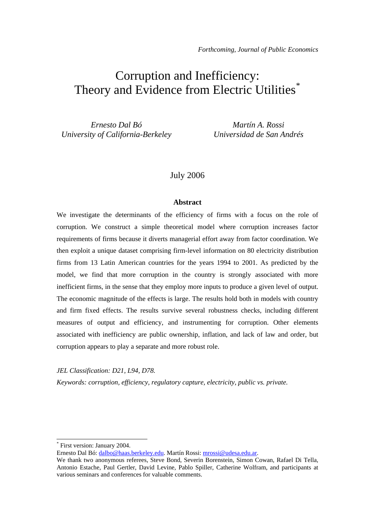# Corruption and Inefficiency: Theory and Evidence from Electric Utilities<sup>[\\*](#page-0-0)</sup>

*Ernesto Dal Bó University of California-Berkeley*

*Martín A. Rossi Universidad de San Andrés*

### July 2006

#### **Abstract**

We investigate the determinants of the efficiency of firms with a focus on the role of corruption. We construct a simple theoretical model where corruption increases factor requirements of firms because it diverts managerial effort away from factor coordination. We then exploit a unique dataset comprising firm-level information on 80 electricity distribution firms from 13 Latin American countries for the years 1994 to 2001. As predicted by the model, we find that more corruption in the country is strongly associated with more inefficient firms, in the sense that they employ more inputs to produce a given level of output. The economic magnitude of the effects is large. The results hold both in models with country and firm fixed effects. The results survive several robustness checks, including different measures of output and efficiency, and instrumenting for corruption. Other elements associated with inefficiency are public ownership, inflation, and lack of law and order, but corruption appears to play a separate and more robust role.

*JEL Classification: D21, L94, D78.* 

*Keywords: corruption, efficiency, regulatory capture, electricity, public vs. private.* 

-

<span id="page-0-0"></span>Ernesto Dal Bó: [dalbo@haas.berkeley.edu.](mailto:dalbo@haas.berkeley.edu) Martín Rossi: [mrossi@udesa.edu.ar](mailto:mrossi@udesa.edu.ar).

<sup>\*</sup> First version: January 2004.

We thank two anonymous referees, Steve Bond, Severin Borenstein, Simon Cowan, Rafael Di Tella, Antonio Estache, Paul Gertler, David Levine, Pablo Spiller, Catherine Wolfram, and participants at various seminars and conferences for valuable comments.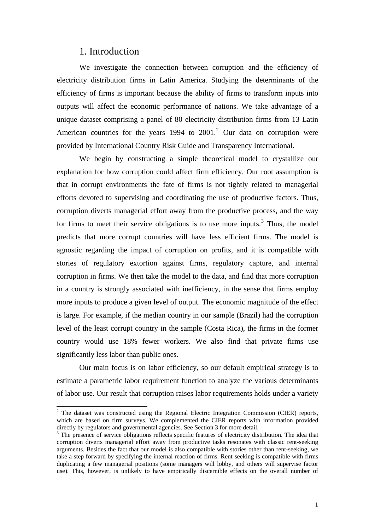## 1. Introduction

1

We investigate the connection between corruption and the efficiency of electricity distribution firms in Latin America. Studying the determinants of the efficiency of firms is important because the ability of firms to transform inputs into outputs will affect the economic performance of nations. We take advantage of a unique dataset comprising a panel of 80 electricity distribution firms from 13 Latin American countries for the years  $1994$  to  $2001$  $2001$ <sup>2</sup> Our data on corruption were provided by International Country Risk Guide and Transparency International.

We begin by constructing a simple theoretical model to crystallize our explanation for how corruption could affect firm efficiency. Our root assumption is that in corrupt environments the fate of firms is not tightly related to managerial efforts devoted to supervising and coordinating the use of productive factors. Thus, corruption diverts managerial effort away from the productive process, and the way for firms to meet their service obligations is to use more inputs.<sup>[3](#page-1-1)</sup> Thus, the model predicts that more corrupt countries will have less efficient firms. The model is agnostic regarding the impact of corruption on profits, and it is compatible with stories of regulatory extortion against firms, regulatory capture, and internal corruption in firms. We then take the model to the data, and find that more corruption in a country is strongly associated with inefficiency, in the sense that firms employ more inputs to produce a given level of output. The economic magnitude of the effect is large. For example, if the median country in our sample (Brazil) had the corruption level of the least corrupt country in the sample (Costa Rica), the firms in the former country would use 18% fewer workers. We also find that private firms use significantly less labor than public ones.

Our main focus is on labor efficiency, so our default empirical strategy is to estimate a parametric labor requirement function to analyze the various determinants of labor use. Our result that corruption raises labor requirements holds under a variety

<span id="page-1-0"></span> $2$  The dataset was constructed using the Regional Electric Integration Commission (CIER) reports, which are based on firm surveys. We complemented the CIER reports with information provided directly by regulators and governmental agencies. See Section 3 for more detail.

<span id="page-1-1"></span><sup>&</sup>lt;sup>3</sup> The presence of service obligations reflects specific features of electricity distribution. The idea that corruption diverts managerial effort away from productive tasks resonates with classic rent-seeking arguments. Besides the fact that our model is also compatible with stories other than rent-seeking, we take a step forward by specifying the internal reaction of firms. Rent-seeking is compatible with firms duplicating a few managerial positions (some managers will lobby, and others will supervise factor use). This, however, is unlikely to have empirically discernible effects on the overall number of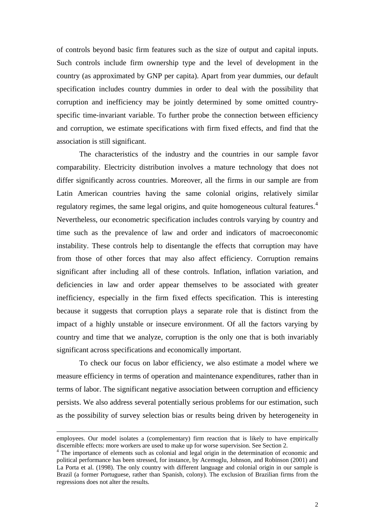of controls beyond basic firm features such as the size of output and capital inputs. Such controls include firm ownership type and the level of development in the country (as approximated by GNP per capita). Apart from year dummies, our default specification includes country dummies in order to deal with the possibility that corruption and inefficiency may be jointly determined by some omitted countryspecific time-invariant variable. To further probe the connection between efficiency and corruption, we estimate specifications with firm fixed effects, and find that the association is still significant.

The characteristics of the industry and the countries in our sample favor comparability. Electricity distribution involves a mature technology that does not differ significantly across countries. Moreover, all the firms in our sample are from Latin American countries having the same colonial origins, relatively similar regulatory regimes, the same legal origins, and quite homogeneous cultural features.<sup>[4](#page-2-0)</sup> Nevertheless, our econometric specification includes controls varying by country and time such as the prevalence of law and order and indicators of macroeconomic instability. These controls help to disentangle the effects that corruption may have from those of other forces that may also affect efficiency. Corruption remains significant after including all of these controls. Inflation, inflation variation, and deficiencies in law and order appear themselves to be associated with greater inefficiency, especially in the firm fixed effects specification. This is interesting because it suggests that corruption plays a separate role that is distinct from the impact of a highly unstable or insecure environment. Of all the factors varying by country and time that we analyze, corruption is the only one that is both invariably significant across specifications and economically important.

To check our focus on labor efficiency, we also estimate a model where we measure efficiency in terms of operation and maintenance expenditures, rather than in terms of labor. The significant negative association between corruption and efficiency persists. We also address several potentially serious problems for our estimation, such as the possibility of survey selection bias or results being driven by heterogeneity in

employees. Our model isolates a (complementary) firm reaction that is likely to have empirically discernible effects: more workers are used to make up for worse supervision. See Section 2.

<span id="page-2-0"></span><sup>&</sup>lt;sup>4</sup> The importance of elements such as colonial and legal origin in the determination of economic and political performance has been stressed, for instance, by Acemoglu, Johnson, and Robinson (2001) and La Porta et al. (1998). The only country with different language and colonial origin in our sample is Brazil (a former Portuguese, rather than Spanish, colony). The exclusion of Brazilian firms from the regressions does not alter the results.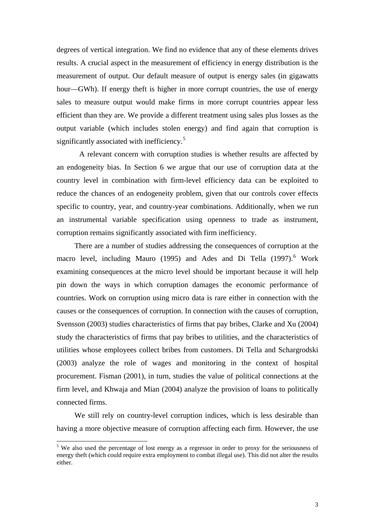degrees of vertical integration. We find no evidence that any of these elements drives results. A crucial aspect in the measurement of efficiency in energy distribution is the measurement of output. Our default measure of output is energy sales (in gigawatts hour—GWh). If energy theft is higher in more corrupt countries, the use of energy sales to measure output would make firms in more corrupt countries appear less efficient than they are. We provide a different treatment using sales plus losses as the output variable (which includes stolen energy) and find again that corruption is significantly associated with inefficiency.<sup>[5](#page-3-0)</sup>

A relevant concern with corruption studies is whether results are affected by an endogeneity bias. In Section 6 we argue that our use of corruption data at the country level in combination with firm-level efficiency data can be exploited to reduce the chances of an endogeneity problem, given that our controls cover effects specific to country, year, and country-year combinations. Additionally, when we run an instrumental variable specification using openness to trade as instrument, corruption remains significantly associated with firm inefficiency.

There are a number of studies addressing the consequences of corruption at the macro level, including Mauro (1995) and Ades and Di Tella (1997).<sup>[6](#page-3-1)</sup> Work examining consequences at the micro level should be important because it will help pin down the ways in which corruption damages the economic performance of countries. Work on corruption using micro data is rare either in connection with the causes or the consequences of corruption. In connection with the causes of corruption, Svensson (2003) studies characteristics of firms that pay bribes, Clarke and Xu (2004) study the characteristics of firms that pay bribes to utilities, and the characteristics of utilities whose employees collect bribes from customers. Di Tella and Schargrodski (2003) analyze the role of wages and monitoring in the context of hospital procurement. Fisman (2001), in turn, studies the value of political connections at the firm level, and Khwaja and Mian (2004) analyze the provision of loans to politically connected firms.

We still rely on country-level corruption indices, which is less desirable than having a more objective measure of corruption affecting each firm. However, the use

<span id="page-3-1"></span><span id="page-3-0"></span><sup>&</sup>lt;sup>5</sup> We also used the percentage of lost energy as a regressor in order to proxy for the seriousness of energy theft (which could require extra employment to combat illegal use). This did not alter the results either.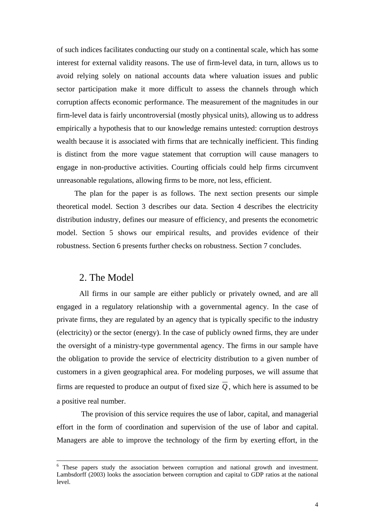of such indices facilitates conducting our study on a continental scale, which has some interest for external validity reasons. The use of firm-level data, in turn, allows us to avoid relying solely on national accounts data where valuation issues and public sector participation make it more difficult to assess the channels through which corruption affects economic performance. The measurement of the magnitudes in our firm-level data is fairly uncontroversial (mostly physical units), allowing us to address empirically a hypothesis that to our knowledge remains untested: corruption destroys wealth because it is associated with firms that are technically inefficient. This finding is distinct from the more vague statement that corruption will cause managers to engage in non-productive activities. Courting officials could help firms circumvent unreasonable regulations, allowing firms to be more, not less, efficient.

The plan for the paper is as follows. The next section presents our simple theoretical model. Section 3 describes our data. Section 4 describes the electricity distribution industry, defines our measure of efficiency, and presents the econometric model. Section 5 shows our empirical results, and provides evidence of their robustness. Section 6 presents further checks on robustness. Section 7 concludes.

## 2. The Model

-

All firms in our sample are either publicly or privately owned, and are all engaged in a regulatory relationship with a governmental agency. In the case of private firms, they are regulated by an agency that is typically specific to the industry (electricity) or the sector (energy). In the case of publicly owned firms, they are under the oversight of a ministry-type governmental agency. The firms in our sample have the obligation to provide the service of electricity distribution to a given number of customers in a given geographical area. For modeling purposes, we will assume that firms are requested to produce an output of fixed size  $\overline{Q}$ , which here is assumed to be a positive real number.

 The provision of this service requires the use of labor, capital, and managerial effort in the form of coordination and supervision of the use of labor and capital. Managers are able to improve the technology of the firm by exerting effort, in the

<sup>&</sup>lt;sup>6</sup> These papers study the association between corruption and national growth and investment. Lambsdorff (2003) looks the association between corruption and capital to GDP ratios at the national level.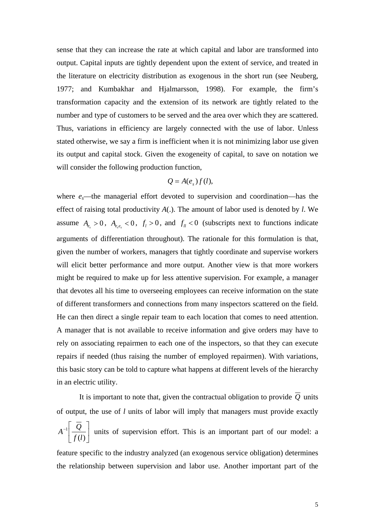sense that they can increase the rate at which capital and labor are transformed into output. Capital inputs are tightly dependent upon the extent of service, and treated in the literature on electricity distribution as exogenous in the short run (see Neuberg, 1977; and Kumbakhar and Hjalmarsson, 1998). For example, the firm's transformation capacity and the extension of its network are tightly related to the number and type of customers to be served and the area over which they are scattered. Thus, variations in efficiency are largely connected with the use of labor. Unless stated otherwise, we say a firm is inefficient when it is not minimizing labor use given its output and capital stock. Given the exogeneity of capital, to save on notation we will consider the following production function,

#### $Q = A(e_{s})f(l),$

where  $e_s$ —the managerial effort devoted to supervision and coordination—has the effect of raising total productivity *A*(.). The amount of labor used is denoted by *l*. We assume  $A_{e} > 0$ ,  $A_{e,e} < 0$ ,  $f_{l} > 0$ , and  $f_{ll} < 0$  (subscripts next to functions indicate arguments of differentiation throughout). The rationale for this formulation is that, given the number of workers, managers that tightly coordinate and supervise workers will elicit better performance and more output. Another view is that more workers might be required to make up for less attentive supervision. For example, a manager that devotes all his time to overseeing employees can receive information on the state of different transformers and connections from many inspectors scattered on the field. He can then direct a single repair team to each location that comes to need attention. A manager that is not available to receive information and give orders may have to rely on associating repairmen to each one of the inspectors, so that they can execute repairs if needed (thus raising the number of employed repairmen). With variations, this basic story can be told to capture what happens at different levels of the hierarchy in an electric utility.

It is important to note that, given the contractual obligation to provide  $\overline{Q}$  units of output, the use of *l* units of labor will imply that managers must provide exactly  $\overline{\phantom{a}}$ ⎦  $\left|\frac{\overline{Q}}{q} \right|$ ⎣  $\overline{-1}$  $(l)$ 1 *lf*  $A^{-1}\left[\frac{Q}{\sqrt{2}}\right]$  units of supervision effort. This is an important part of our model: a feature specific to the industry analyzed (an exogenous service obligation) determines

the relationship between supervision and labor use. Another important part of the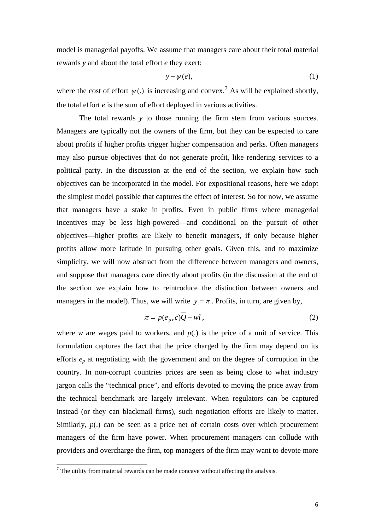model is managerial payoffs. We assume that managers care about their total material rewards *y* and about the total effort *e* they exert:

$$
y - \psi(e), \tag{1}
$$

where the cost of effort  $\psi(.)$  is increasing and convex.<sup>[7](#page-6-0)</sup> As will be explained shortly, the total effort *e* is the sum of effort deployed in various activities.

The total rewards *y* to those running the firm stem from various sources. Managers are typically not the owners of the firm, but they can be expected to care about profits if higher profits trigger higher compensation and perks. Often managers may also pursue objectives that do not generate profit, like rendering services to a political party. In the discussion at the end of the section, we explain how such objectives can be incorporated in the model. For expositional reasons, here we adopt the simplest model possible that captures the effect of interest. So for now, we assume that managers have a stake in profits. Even in public firms where managerial incentives may be less high-powered—and conditional on the pursuit of other objectives—higher profits are likely to benefit managers, if only because higher profits allow more latitude in pursuing other goals. Given this, and to maximize simplicity, we will now abstract from the difference between managers and owners, and suppose that managers care directly about profits (in the discussion at the end of the section we explain how to reintroduce the distinction between owners and managers in the model). Thus, we will write  $y = \pi$ . Profits, in turn, are given by,

$$
\pi = p(e_p, c)\overline{Q} - w l\,,\tag{2}
$$

where *w* are wages paid to workers, and  $p(.)$  is the price of a unit of service. This formulation captures the fact that the price charged by the firm may depend on its efforts *ep* at negotiating with the government and on the degree of corruption in the country. In non-corrupt countries prices are seen as being close to what industry jargon calls the "technical price", and efforts devoted to moving the price away from the technical benchmark are largely irrelevant. When regulators can be captured instead (or they can blackmail firms), such negotiation efforts are likely to matter. Similarly,  $p(.)$  can be seen as a price net of certain costs over which procurement managers of the firm have power. When procurement managers can collude with providers and overcharge the firm, top managers of the firm may want to devote more

<span id="page-6-0"></span> $\overline{a}$  The utility from material rewards can be made concave without affecting the analysis.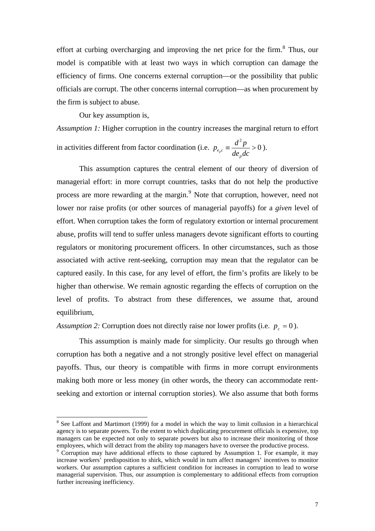effort at curbing overcharging and improving the net price for the firm. $8$  Thus, our model is compatible with at least two ways in which corruption can damage the efficiency of firms. One concerns external corruption—or the possibility that public officials are corrupt. The other concerns internal corruption—as when procurement by the firm is subject to abuse.

Our key assumption is,

-

*Assumption 1:* Higher corruption in the country increases the marginal return to effort

in activities different from factor coordination (i.e. 2  $p_{e_{p}c} \equiv \frac{d^{2}p}{de_{p}dc} > 0$ ).

This assumption captures the central element of our theory of diversion of managerial effort: in more corrupt countries, tasks that do not help the productive process are more rewarding at the margin.<sup>[9](#page-7-1)</sup> Note that corruption, however, need not lower nor raise profits (or other sources of managerial payoffs) for a *given* level of effort. When corruption takes the form of regulatory extortion or internal procurement abuse, profits will tend to suffer unless managers devote significant efforts to courting regulators or monitoring procurement officers. In other circumstances, such as those associated with active rent-seeking, corruption may mean that the regulator can be captured easily. In this case, for any level of effort, the firm's profits are likely to be higher than otherwise. We remain agnostic regarding the effects of corruption on the level of profits. To abstract from these differences, we assume that, around equilibrium,

*Assumption 2:* Corruption does not directly raise nor lower profits (i.e.  $p_c = 0$ ).

 This assumption is mainly made for simplicity. Our results go through when corruption has both a negative and a not strongly positive level effect on managerial payoffs. Thus, our theory is compatible with firms in more corrupt environments making both more or less money (in other words, the theory can accommodate rentseeking and extortion or internal corruption stories). We also assume that both forms

<span id="page-7-0"></span> $8$  See Laffont and Martimort (1999) for a model in which the way to limit collusion in a hierarchical agency is to separate powers. To the extent to which duplicating procurement officials is expensive, top managers can be expected not only to separate powers but also to increase their monitoring of those employees, which will detract from the ability top managers have to oversee the productive process.

<span id="page-7-1"></span><sup>&</sup>lt;sup>9</sup> Corruption may have additional effects to those captured by Assumption 1. For example, it may increase workers' predisposition to shirk, which would in turn affect managers' incentives to monitor workers. Our assumption captures a sufficient condition for increases in corruption to lead to worse managerial supervision. Thus, our assumption is complementary to additional effects from corruption further increasing inefficiency.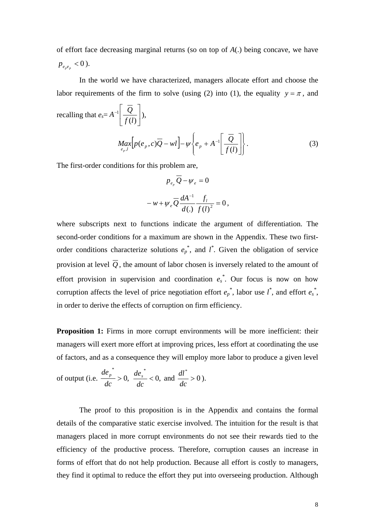of effort face decreasing marginal returns (so on top of *A*(.) being concave, we have  $p_{e_{n}e_{n}}$  < 0).

In the world we have characterized, managers allocate effort and choose the labor requirements of the firm to solve (using (2) into (1), the equality  $y = \pi$ , and

recalling that 
$$
e_s = A^{-1} \left[ \frac{\overline{Q}}{f(l)} \right]
$$
,  

$$
M_{e_p,l} \left[ p(e_p, c) \overline{Q} - w l \right] - \psi \left\{ e_p + A^{-1} \left[ \frac{\overline{Q}}{f(l)} \right] \right\}.
$$
 (3)

The first-order conditions for this problem are,

$$
p_{e_p}Q - \psi_e = 0
$$
  

$$
-w + \psi_e \overline{Q} \frac{dA^{-1}}{d(.)} \frac{f_l}{f(l)^2} = 0,
$$

where subscripts next to functions indicate the argument of differentiation. The second-order conditions for a maximum are shown in the Appendix. These two firstorder conditions characterize solutions  $e_p^*$ , and  $l^*$ . Given the obligation of service provision at level  $\overline{Q}$ , the amount of labor chosen is inversely related to the amount of effort provision in supervision and coordination  $e_s^*$ . Our focus is now on how corruption affects the level of price negotiation effort  $e_p^*$ , labor use  $l^*$ , and effort  $e_s^*$ , in order to derive the effects of corruption on firm efficiency.

**Proposition 1:** Firms in more corrupt environments will be more inefficient: their managers will exert more effort at improving prices, less effort at coordinating the use of factors, and as a consequence they will employ more labor to produce a given level

of output (i.e. 
$$
\frac{de_p^*}{dc} > 0
$$
,  $\frac{de_s^*}{dc} < 0$ , and  $\frac{dl^*}{dc} > 0$ ).

The proof to this proposition is in the Appendix and contains the formal details of the comparative static exercise involved. The intuition for the result is that managers placed in more corrupt environments do not see their rewards tied to the efficiency of the productive process. Therefore, corruption causes an increase in forms of effort that do not help production. Because all effort is costly to managers, they find it optimal to reduce the effort they put into overseeing production. Although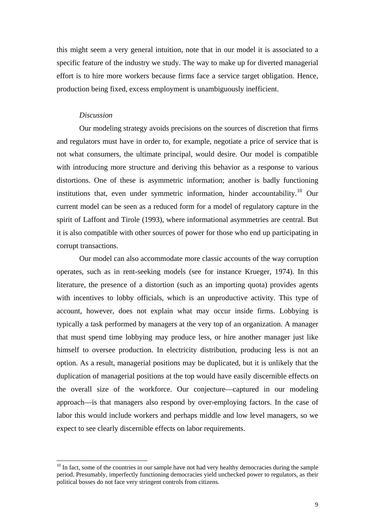this might seem a very general intuition, note that in our model it is associated to a specific feature of the industry we study. The way to make up for diverted managerial effort is to hire more workers because firms face a service target obligation. Hence, production being fixed, excess employment is unambiguously inefficient.

#### *Discussion*

-

Our modeling strategy avoids precisions on the sources of discretion that firms and regulators must have in order to, for example, negotiate a price of service that is not what consumers, the ultimate principal, would desire. Our model is compatible with introducing more structure and deriving this behavior as a response to various distortions. One of these is asymmetric information; another is badly functioning institutions that, even under symmetric information, hinder accountability.<sup>[10](#page-9-0)</sup> Our current model can be seen as a reduced form for a model of regulatory capture in the spirit of Laffont and Tirole (1993), where informational asymmetries are central. But it is also compatible with other sources of power for those who end up participating in corrupt transactions.

Our model can also accommodate more classic accounts of the way corruption operates, such as in rent-seeking models (see for instance Krueger, 1974). In this literature, the presence of a distortion (such as an importing quota) provides agents with incentives to lobby officials, which is an unproductive activity. This type of account, however, does not explain what may occur inside firms. Lobbying is typically a task performed by managers at the very top of an organization. A manager that must spend time lobbying may produce less, or hire another manager just like himself to oversee production. In electricity distribution, producing less is not an option. As a result, managerial positions may be duplicated, but it is unlikely that the duplication of managerial positions at the top would have easily discernible effects on the overall size of the workforce. Our conjecture—captured in our modeling approach—is that managers also respond by over-employing factors. In the case of labor this would include workers and perhaps middle and low level managers, so we expect to see clearly discernible effects on labor requirements.

<span id="page-9-0"></span> $10$  In fact, some of the countries in our sample have not had very healthy democracies during the sample period. Presumably, imperfectly functioning democracies yield unchecked power to regulators, as their political bosses do not face very stringent controls from citizens.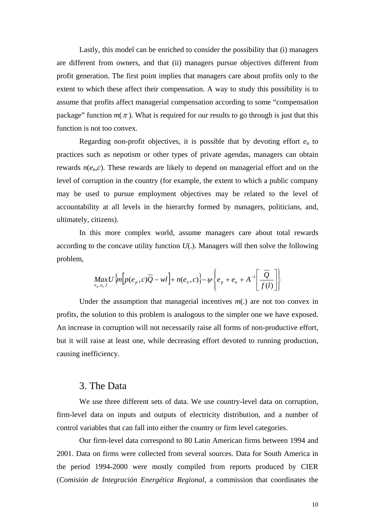Lastly, this model can be enriched to consider the possibility that (i) managers are different from owners, and that (ii) managers pursue objectives different from profit generation. The first point implies that managers care about profits only to the extent to which these affect their compensation. A way to study this possibility is to assume that profits affect managerial compensation according to some "compensation package" function  $m(\pi)$ . What is required for our results to go through is just that this function is not too convex.

Regarding non-profit objectives, it is possible that by devoting effort *en* to practices such as nepotism or other types of private agendas, managers can obtain rewards  $n(e_n, c)$ . These rewards are likely to depend on managerial effort and on the level of corruption in the country (for example, the extent to which a public company may be used to pursue employment objectives may be related to the level of accountability at all levels in the hierarchy formed by managers, politicians, and, ultimately, citizens).

In this more complex world, assume managers care about total rewards according to the concave utility function *U*(.). Managers will then solve the following problem,

$$
\underset{e_p, e_n, l}{Max}U\left\{m\left[p(e_p, c)\overline{Q} - w l\right] + n(e_n, c)\right\} - \psi\left\{e_p + e_n + A^{-1}\left[\frac{\overline{Q}}{f(l)}\right]\right\}
$$

Under the assumption that managerial incentives  $m(.)$  are not too convex in profits, the solution to this problem is analogous to the simpler one we have exposed. An increase in corruption will not necessarily raise all forms of non-productive effort, but it will raise at least one, while decreasing effort devoted to running production, causing inefficiency.

## 3. The Data

We use three different sets of data. We use country-level data on corruption, firm-level data on inputs and outputs of electricity distribution, and a number of control variables that can fall into either the country or firm level categories.

Our firm-level data correspond to 80 Latin American firms between 1994 and 2001. Data on firms were collected from several sources. Data for South America in the period 1994-2000 were mostly compiled from reports produced by CIER (*Comisión de Integración Energética Regional*, a commission that coordinates the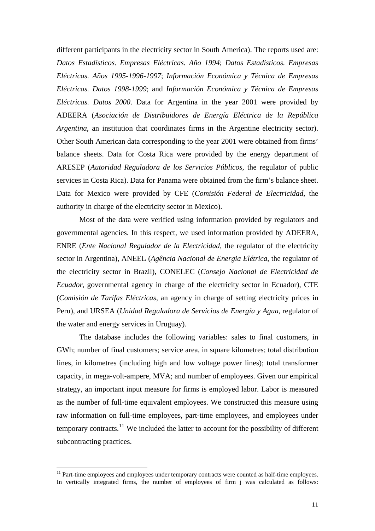different participants in the electricity sector in South America). The reports used are: *Datos Estadísticos. Empresas Eléctricas. Año 1994*; *Datos Estadísticos. Empresas Eléctricas. Años 1995-1996-1997*; *Información Económica y Técnica de Empresas Eléctricas. Datos 1998-1999*; and *Información Económica y Técnica de Empresas Eléctricas. Datos 2000*. Data for Argentina in the year 2001 were provided by ADEERA (*Asociación de Distribuidores de Energía Eléctrica de la República Argentina*, an institution that coordinates firms in the Argentine electricity sector). Other South American data corresponding to the year 2001 were obtained from firms' balance sheets. Data for Costa Rica were provided by the energy department of ARESEP (*Autoridad Reguladora de los Servicios Públicos*, the regulator of public services in Costa Rica). Data for Panama were obtained from the firm's balance sheet. Data for Mexico were provided by CFE (*Comisión Federal de Electricidad*, the authority in charge of the electricity sector in Mexico).

Most of the data were verified using information provided by regulators and governmental agencies. In this respect, we used information provided by ADEERA, ENRE (*Ente Nacional Regulador de la Electricidad*, the regulator of the electricity sector in Argentina), ANEEL (*Agência Nacional de Energia Elétrica*, the regulator of the electricity sector in Brazil), CONELEC (*Consejo Nacional de Electricidad de Ecuador*, governmental agency in charge of the electricity sector in Ecuador), CTE (*Comisión de Tarifas Eléctricas*, an agency in charge of setting electricity prices in Peru), and URSEA (*Unidad Reguladora de Servicios de Energía y Agua*, regulator of the water and energy services in Uruguay).

The database includes the following variables: sales to final customers, in GWh; number of final customers; service area, in square kilometres; total distribution lines, in kilometres (including high and low voltage power lines); total transformer capacity, in mega-volt-ampere, MVA; and number of employees. Given our empirical strategy, an important input measure for firms is employed labor. Labor is measured as the number of full-time equivalent employees. We constructed this measure using raw information on full-time employees, part-time employees, and employees under temporary contracts.[11](#page-11-0) We included the latter to account for the possibility of different subcontracting practices.

1

<span id="page-11-0"></span><sup>&</sup>lt;sup>11</sup> Part-time employees and employees under temporary contracts were counted as half-time employees. In vertically integrated firms, the number of employees of firm j was calculated as follows: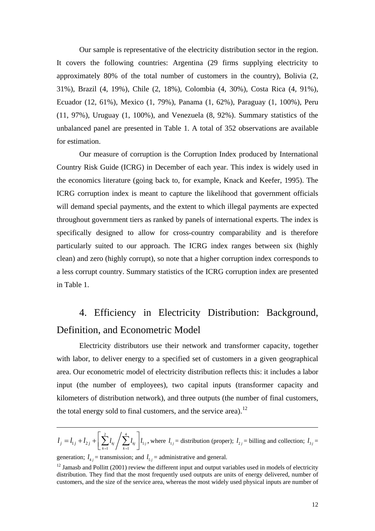Our sample is representative of the electricity distribution sector in the region. It covers the following countries: Argentina (29 firms supplying electricity to approximately 80% of the total number of customers in the country), Bolivia (2, 31%), Brazil (4, 19%), Chile (2, 18%), Colombia (4, 30%), Costa Rica (4, 91%), Ecuador (12, 61%), Mexico (1, 79%), Panama (1, 62%), Paraguay (1, 100%), Peru (11, 97%), Uruguay (1, 100%), and Venezuela (8, 92%). Summary statistics of the unbalanced panel are presented in Table 1. A total of 352 observations are available for estimation.

Our measure of corruption is the Corruption Index produced by International Country Risk Guide (ICRG) in December of each year. This index is widely used in the economics literature (going back to, for example, Knack and Keefer, 1995). The ICRG corruption index is meant to capture the likelihood that government officials will demand special payments, and the extent to which illegal payments are expected throughout government tiers as ranked by panels of international experts. The index is specifically designed to allow for cross-country comparability and is therefore particularly suited to our approach. The ICRG index ranges between six (highly clean) and zero (highly corrupt), so note that a higher corruption index corresponds to a less corrupt country. Summary statistics of the ICRG corruption index are presented in Table 1.

# 4. Efficiency in Electricity Distribution: Background, Definition, and Econometric Model

Electricity distributors use their network and transformer capacity, together with labor, to deliver energy to a specified set of customers in a given geographical area. Our econometric model of electricity distribution reflects this: it includes a labor input (the number of employees), two capital inputs (transformer capacity and kilometers of distribution network), and three outputs (the number of final customers, the total energy sold to final customers, and the service area).<sup>[12](#page-12-0)</sup>

$$
l_j = l_{1j} + l_{2j} + \left[ \sum_{k=1}^{2} l_{kj} / \sum_{k=1}^{4} l_{kj} \right] l_{5j}
$$
, where  $l_{1j}$  = distribution (proper);  $l_{2j}$  = billing and collection;  $l_{3j}$  =

generation;  $l_{4j}$  = transmission; and  $l_{5j}$  = administrative and general.

<span id="page-12-0"></span> $12$  Jamasb and Pollitt (2001) review the different input and output variables used in models of electricity distribution. They find that the most frequently used outputs are units of energy delivered, number of customers, and the size of the service area, whereas the most widely used physical inputs are number of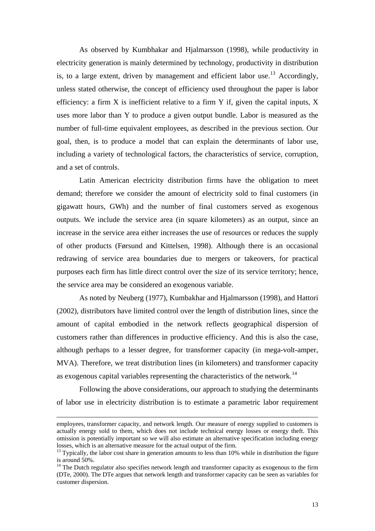As observed by Kumbhakar and Hjalmarsson (1998), while productivity in electricity generation is mainly determined by technology, productivity in distribution is, to a large extent, driven by management and efficient labor use.<sup>[13](#page-13-0)</sup> Accordingly, unless stated otherwise, the concept of efficiency used throughout the paper is labor efficiency: a firm X is inefficient relative to a firm Y if, given the capital inputs, X uses more labor than Y to produce a given output bundle. Labor is measured as the number of full-time equivalent employees, as described in the previous section. Our goal, then, is to produce a model that can explain the determinants of labor use, including a variety of technological factors, the characteristics of service, corruption, and a set of controls.

Latin American electricity distribution firms have the obligation to meet demand; therefore we consider the amount of electricity sold to final customers (in gigawatt hours, GWh) and the number of final customers served as exogenous outputs. We include the service area (in square kilometers) as an output, since an increase in the service area either increases the use of resources or reduces the supply of other products (Førsund and Kittelsen, 1998). Although there is an occasional redrawing of service area boundaries due to mergers or takeovers, for practical purposes each firm has little direct control over the size of its service territory; hence, the service area may be considered an exogenous variable.

As noted by Neuberg (1977), Kumbakhar and Hjalmarsson (1998), and Hattori (2002), distributors have limited control over the length of distribution lines, since the amount of capital embodied in the network reflects geographical dispersion of customers rather than differences in productive efficiency. And this is also the case, although perhaps to a lesser degree, for transformer capacity (in mega-volt-amper, MVA). Therefore, we treat distribution lines (in kilometers) and transformer capacity as exogenous capital variables representing the characteristics of the network.<sup>[14](#page-13-1)</sup>

Following the above considerations, our approach to studying the determinants of labor use in electricity distribution is to estimate a parametric labor requirement

employees, transformer capacity, and network length. Our measure of energy supplied to customers is actually energy sold to them, which does not include technical energy losses or energy theft. This omission is potentially important so we will also estimate an alternative specification including energy losses, which is an alternative measure for the actual output of the firm.

<span id="page-13-0"></span> $13$  Typically, the labor cost share in generation amounts to less than 10% while in distribution the figure is around 50%.

<span id="page-13-1"></span><sup>&</sup>lt;sup>14</sup> The Dutch regulator also specifies network length and transformer capacity as exogenous to the firm (DTe, 2000). The DTe argues that network length and transformer capacity can be seen as variables for customer dispersion.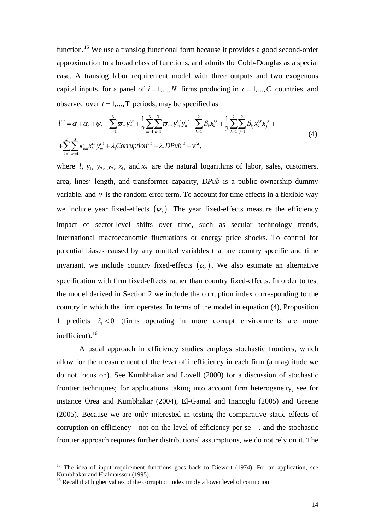function.[15](#page-14-0) We use a translog functional form because it provides a good second-order approximation to a broad class of functions, and admits the Cobb-Douglas as a special case. A translog labor requirement model with three outputs and two exogenous capital inputs, for a panel of  $i = 1,..., N$  firms producing in  $c = 1,..., C$  countries, and observed over  $t = 1, ..., T$  periods, may be specified as

$$
l^{i,t} = \alpha + \alpha_c + \psi_t + \sum_{m=1}^3 \varpi_m y_m^{i,t} + \frac{1}{2} \sum_{m=1}^3 \sum_{n=1}^3 \varpi_{mn} y_m^{i,t} y_n^{i,t} + \sum_{k=1}^2 \beta_k x_k^{i,t} + \frac{1}{2} \sum_{k=1}^2 \sum_{j=1}^2 \beta_{kj} x_k^{i,t} x_j^{i,t} + \sum_{k=1}^2 \sum_{m=1}^3 \kappa_{km} x_k^{i,t} y_m^{i,t} + \lambda_1 \text{Corruption}^{c,t} + \lambda_2 DPub^{i,t} + v^{i,t},
$$
\n
$$
(4)
$$

where  $l$ ,  $y_1$ ,  $y_2$ ,  $y_3$ ,  $x_1$ , and  $x_2$  are the natural logarithms of labor, sales, customers, area, lines' length, and transformer capacity, *DPub* is a public ownership dummy variable, and  $\nu$  is the random error term. To account for time effects in a flexible way we include year fixed-effects  $(\psi_t)$ . The year fixed-effects measure the efficiency impact of sector-level shifts over time, such as secular technology trends, international macroeconomic fluctuations or energy price shocks. To control for potential biases caused by any omitted variables that are country specific and time invariant, we include country fixed-effects  $(\alpha_c)$ . We also estimate an alternative specification with firm fixed-effects rather than country fixed-effects. In order to test the model derived in Section 2 we include the corruption index corresponding to the country in which the firm operates. In terms of the model in equation (4), Proposition 1 predicts  $\lambda_1 < 0$  (firms operating in more corrupt environments are more inefficient).<sup>[16](#page-14-1)</sup>

A usual approach in efficiency studies employs stochastic frontiers, which allow for the measurement of the *level* of inefficiency in each firm (a magnitude we do not focus on). See Kumbhakar and Lovell (2000) for a discussion of stochastic frontier techniques; for applications taking into account firm heterogeneity, see for instance Orea and Kumbhakar (2004), El-Gamal and Inanoglu (2005) and Greene (2005). Because we are only interested in testing the comparative static effects of corruption on efficiency—not on the level of efficiency per se—, and the stochastic frontier approach requires further distributional assumptions, we do not rely on it. The

<span id="page-14-0"></span><sup>&</sup>lt;sup>15</sup> The idea of input requirement functions goes back to Diewert (1974). For an application, see Kumbhakar and Hjalmarsson (1995).

<span id="page-14-1"></span><sup>&</sup>lt;sup>16</sup> Recall that higher values of the corruption index imply a lower level of corruption.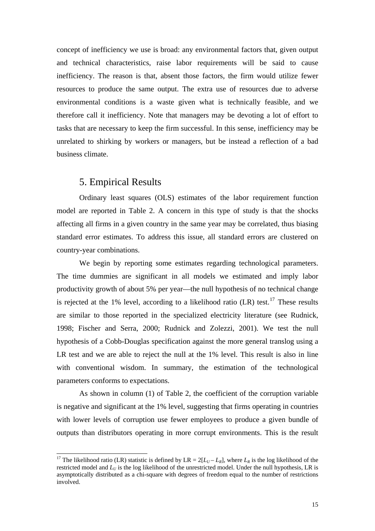concept of inefficiency we use is broad: any environmental factors that, given output and technical characteristics, raise labor requirements will be said to cause inefficiency. The reason is that, absent those factors, the firm would utilize fewer resources to produce the same output. The extra use of resources due to adverse environmental conditions is a waste given what is technically feasible, and we therefore call it inefficiency. Note that managers may be devoting a lot of effort to tasks that are necessary to keep the firm successful. In this sense, inefficiency may be unrelated to shirking by workers or managers, but be instead a reflection of a bad business climate.

## 5. Empirical Results

-

Ordinary least squares (OLS) estimates of the labor requirement function model are reported in Table 2. A concern in this type of study is that the shocks affecting all firms in a given country in the same year may be correlated, thus biasing standard error estimates. To address this issue, all standard errors are clustered on country-year combinations.

We begin by reporting some estimates regarding technological parameters. The time dummies are significant in all models we estimated and imply labor productivity growth of about 5% per year—the null hypothesis of no technical change is rejected at the 1% level, according to a likelihood ratio  $(LR)$  test.<sup>17</sup> These results are similar to those reported in the specialized electricity literature (see Rudnick, 1998; Fischer and Serra, 2000; Rudnick and Zolezzi, 2001). We test the null hypothesis of a Cobb-Douglas specification against the more general translog using a LR test and we are able to reject the null at the 1% level. This result is also in line with conventional wisdom. In summary, the estimation of the technological parameters conforms to expectations.

As shown in column (1) of Table 2, the coefficient of the corruption variable is negative and significant at the 1% level, suggesting that firms operating in countries with lower levels of corruption use fewer employees to produce a given bundle of outputs than distributors operating in more corrupt environments. This is the result

<span id="page-15-0"></span><sup>&</sup>lt;sup>17</sup> The likelihood ratio (LR) statistic is defined by LR =  $2[L_U - L_R]$ , where  $L_R$  is the log likelihood of the restricted model and  $L_U$  is the log likelihood of the unrestricted model. Under the null hypothesis, LR is asymptotically distributed as a chi-square with degrees of freedom equal to the number of restrictions involved.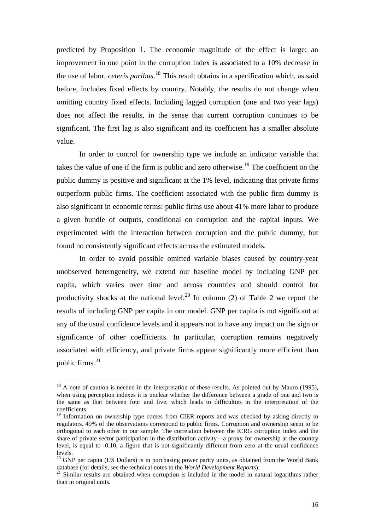predicted by Proposition 1. The economic magnitude of the effect is large: an improvement in one point in the corruption index is associated to a 10% decrease in the use of labor, *ceteris paribus*. [18](#page-16-0) This result obtains in a specification which, as said before, includes fixed effects by country. Notably, the results do not change when omitting country fixed effects. Including lagged corruption (one and two year lags) does not affect the results, in the sense that current corruption continues to be significant. The first lag is also significant and its coefficient has a smaller absolute value.

In order to control for ownership type we include an indicator variable that takes the value of one if the firm is public and zero otherwise.<sup>[19](#page-16-1)</sup> The coefficient on the public dummy is positive and significant at the 1% level, indicating that private firms outperform public firms. The coefficient associated with the public firm dummy is also significant in economic terms: public firms use about 41% more labor to produce a given bundle of outputs, conditional on corruption and the capital inputs. We experimented with the interaction between corruption and the public dummy, but found no consistently significant effects across the estimated models.

In order to avoid possible omitted variable biases caused by country-year unobserved heterogeneity, we extend our baseline model by including GNP per capita, which varies over time and across countries and should control for productivity shocks at the national level.<sup>[20](#page-16-2)</sup> In column (2) of Table 2 we report the results of including GNP per capita in our model. GNP per capita is not significant at any of the usual confidence levels and it appears not to have any impact on the sign or significance of other coefficients. In particular, corruption remains negatively associated with efficiency, and private firms appear significantly more efficient than public firms. $^{21}$  $^{21}$  $^{21}$ 

1

<span id="page-16-0"></span> $18$  A note of caution is needed in the interpretation of these results. As pointed out by Mauro (1995), when using perception indexes it is unclear whether the difference between a grade of one and two is the same as that between four and five, which leads to difficulties in the interpretation of the coefficients.

<span id="page-16-1"></span><sup>&</sup>lt;sup>19</sup> Information on ownership type comes from CIER reports and was checked by asking directly to regulators. 49% of the observations correspond to public firms. Corruption and ownership seem to be orthogonal to each other in our sample. The correlation between the ICRG corruption index and the share of private sector participation in the distribution activity—a proxy for ownership at the country level, is equal to -0.10, a figure that is not significantly different from zero at the usual confidence levels.

<span id="page-16-2"></span><sup>&</sup>lt;sup>20</sup> GNP per capita (US Dollars) is in purchasing power parity units, as obtained from the World Bank database (for details, see the technical notes to the *World Development Reports*).

<span id="page-16-3"></span>database (for details, see the technical notation of the included in the model in natural logarithms rather than in original units.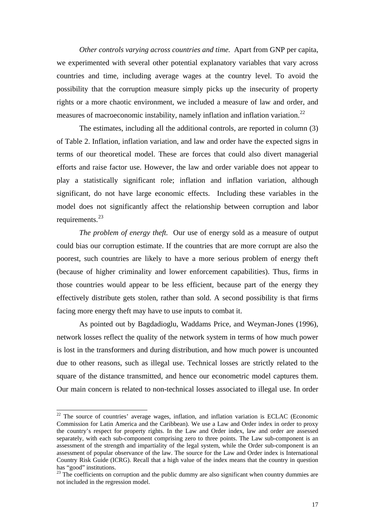*Other controls varying across countries and time.* Apart from GNP per capita, we experimented with several other potential explanatory variables that vary across countries and time, including average wages at the country level. To avoid the possibility that the corruption measure simply picks up the insecurity of property rights or a more chaotic environment, we included a measure of law and order, and measures of macroeconomic instability, namely inflation and inflation variation.<sup>[22](#page-17-0)</sup>

The estimates, including all the additional controls, are reported in column (3) of Table 2. Inflation, inflation variation, and law and order have the expected signs in terms of our theoretical model. These are forces that could also divert managerial efforts and raise factor use. However, the law and order variable does not appear to play a statistically significant role; inflation and inflation variation, although significant, do not have large economic effects. Including these variables in the model does not significantly affect the relationship between corruption and labor requirements.<sup>[23](#page-17-1)</sup>

*The problem of energy theft.* Our use of energy sold as a measure of output could bias our corruption estimate. If the countries that are more corrupt are also the poorest, such countries are likely to have a more serious problem of energy theft (because of higher criminality and lower enforcement capabilities). Thus, firms in those countries would appear to be less efficient, because part of the energy they effectively distribute gets stolen, rather than sold. A second possibility is that firms facing more energy theft may have to use inputs to combat it.

As pointed out by Bagdadioglu, Waddams Price, and Weyman-Jones (1996), network losses reflect the quality of the network system in terms of how much power is lost in the transformers and during distribution, and how much power is uncounted due to other reasons, such as illegal use. Technical losses are strictly related to the square of the distance transmitted, and hence our econometric model captures them. Our main concern is related to non-technical losses associated to illegal use. In order

<span id="page-17-0"></span> $22$  The source of countries' average wages, inflation, and inflation variation is ECLAC (Economic Commission for Latin America and the Caribbean). We use a Law and Order index in order to proxy the country's respect for property rights. In the Law and Order index, law and order are assessed separately, with each sub-component comprising zero to three points. The Law sub-component is an assessment of the strength and impartiality of the legal system, while the Order sub-component is an assessment of popular observance of the law. The source for the Law and Order index is International Country Risk Guide (ICRG). Recall that a high value of the index means that the country in question has "good" institutions.

<span id="page-17-1"></span> $23$  The coefficients on corruption and the public dummy are also significant when country dummies are not included in the regression model.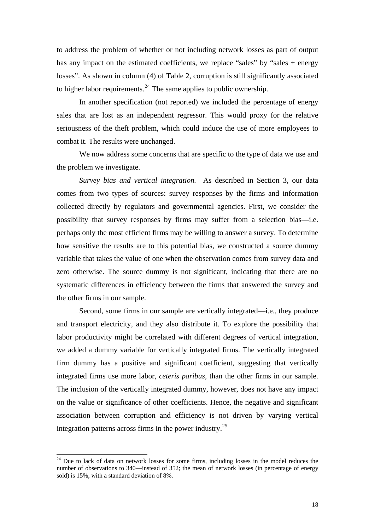to address the problem of whether or not including network losses as part of output has any impact on the estimated coefficients, we replace "sales" by "sales + energy losses". As shown in column (4) of Table 2, corruption is still significantly associated to higher labor requirements.<sup>[24](#page-18-0)</sup> The same applies to public ownership.

In another specification (not reported) we included the percentage of energy sales that are lost as an independent regressor. This would proxy for the relative seriousness of the theft problem, which could induce the use of more employees to combat it. The results were unchanged.

We now address some concerns that are specific to the type of data we use and the problem we investigate.

*Survey bias and vertical integration.* As described in Section 3, our data comes from two types of sources: survey responses by the firms and information collected directly by regulators and governmental agencies. First, we consider the possibility that survey responses by firms may suffer from a selection bias—i.e. perhaps only the most efficient firms may be willing to answer a survey. To determine how sensitive the results are to this potential bias, we constructed a source dummy variable that takes the value of one when the observation comes from survey data and zero otherwise. The source dummy is not significant, indicating that there are no systematic differences in efficiency between the firms that answered the survey and the other firms in our sample.

Second, some firms in our sample are vertically integrated—i.e., they produce and transport electricity, and they also distribute it. To explore the possibility that labor productivity might be correlated with different degrees of vertical integration, we added a dummy variable for vertically integrated firms. The vertically integrated firm dummy has a positive and significant coefficient, suggesting that vertically integrated firms use more labor, *ceteris paribus*, than the other firms in our sample. The inclusion of the vertically integrated dummy, however, does not have any impact on the value or significance of other coefficients. Hence, the negative and significant association between corruption and efficiency is not driven by varying vertical integration patterns across firms in the power industry.<sup>[25](#page-18-1)</sup>

<span id="page-18-1"></span><span id="page-18-0"></span> $24$  Due to lack of data on network losses for some firms, including losses in the model reduces the number of observations to 340—instead of 352; the mean of network losses (in percentage of energy sold) is 15%, with a standard deviation of 8%.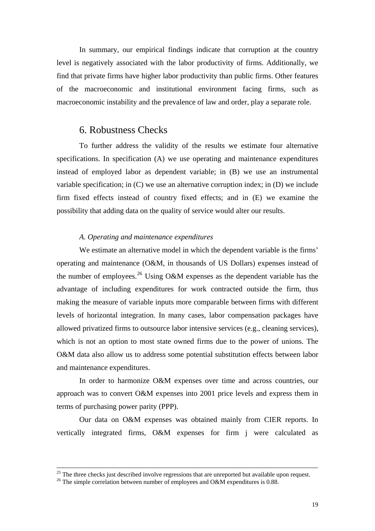In summary, our empirical findings indicate that corruption at the country level is negatively associated with the labor productivity of firms. Additionally, we find that private firms have higher labor productivity than public firms. Other features of the macroeconomic and institutional environment facing firms, such as macroeconomic instability and the prevalence of law and order, play a separate role.

## 6. Robustness Checks

To further address the validity of the results we estimate four alternative specifications. In specification (A) we use operating and maintenance expenditures instead of employed labor as dependent variable; in (B) we use an instrumental variable specification; in (C) we use an alternative corruption index; in (D) we include firm fixed effects instead of country fixed effects; and in (E) we examine the possibility that adding data on the quality of service would alter our results.

#### *A. Operating and maintenance expenditures*

We estimate an alternative model in which the dependent variable is the firms' operating and maintenance (O&M, in thousands of US Dollars) expenses instead of the number of employees.<sup>[26](#page-19-0)</sup> Using O&M expenses as the dependent variable has the advantage of including expenditures for work contracted outside the firm, thus making the measure of variable inputs more comparable between firms with different levels of horizontal integration. In many cases, labor compensation packages have allowed privatized firms to outsource labor intensive services (e.g., cleaning services), which is not an option to most state owned firms due to the power of unions. The O&M data also allow us to address some potential substitution effects between labor and maintenance expenditures.

In order to harmonize O&M expenses over time and across countries, our approach was to convert O&M expenses into 2001 price levels and express them in terms of purchasing power parity (PPP).

Our data on O&M expenses was obtained mainly from CIER reports. In vertically integrated firms, O&M expenses for firm j were calculated as

1

 $25$  The three checks just described involve regressions that are unreported but available upon request.

<span id="page-19-0"></span><sup>&</sup>lt;sup>26</sup> The simple correlation between number of employees and O&M expenditures is 0.88.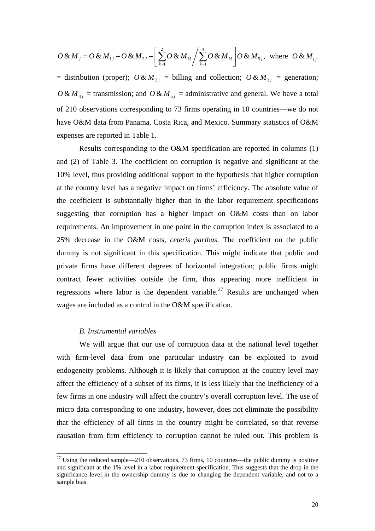$$
O \& M_j = O \& M_{1j} + O \& M_{2j} + \left[ \sum_{k=1}^{2} O \& M_{kj} / \sum_{k=1}^{4} O \& M_{kj} \right] O \& M_{5j}, \text{ where } O \& M_{1j}
$$

= distribution (proper);  $O & M_{2i}$  = billing and collection;  $O & M_{3i}$  = generation;  $O & M_{4}$  = transmission; and  $O & M_{5}$  = administrative and general. We have a total of 210 observations corresponding to 73 firms operating in 10 countries—we do not have O&M data from Panama, Costa Rica, and Mexico. Summary statistics of O&M expenses are reported in Table 1.

Results corresponding to the O&M specification are reported in columns (1) and (2) of Table 3. The coefficient on corruption is negative and significant at the 10% level, thus providing additional support to the hypothesis that higher corruption at the country level has a negative impact on firms' efficiency. The absolute value of the coefficient is substantially higher than in the labor requirement specifications suggesting that corruption has a higher impact on O&M costs than on labor requirements. An improvement in one point in the corruption index is associated to a 25% decrease in the O&M costs, *ceteris paribus*. The coefficient on the public dummy is not significant in this specification. This might indicate that public and private firms have different degrees of horizontal integration; public firms might contract fewer activities outside the firm, thus appearing more inefficient in regressions where labor is the dependent variable.<sup>[27](#page-20-0)</sup> Results are unchanged when wages are included as a control in the O&M specification.

#### *B. Instrumental variables*

-

We will argue that our use of corruption data at the national level together with firm-level data from one particular industry can be exploited to avoid endogeneity problems. Although it is likely that corruption at the country level may affect the efficiency of a subset of its firms, it is less likely that the inefficiency of a few firms in one industry will affect the country's overall corruption level. The use of micro data corresponding to one industry, however, does not eliminate the possibility that the efficiency of all firms in the country might be correlated, so that reverse causation from firm efficiency to corruption cannot be ruled out. This problem is

<span id="page-20-0"></span> $27$  Using the reduced sample—210 observations, 73 firms, 10 countries—the public dummy is positive and significant at the 1% level in a labor requirement specification. This suggests that the drop in the significance level in the ownership dummy is due to changing the dependent variable, and not to a sample bias.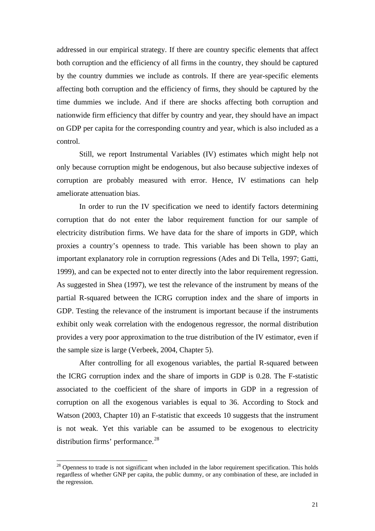addressed in our empirical strategy. If there are country specific elements that affect both corruption and the efficiency of all firms in the country, they should be captured by the country dummies we include as controls. If there are year-specific elements affecting both corruption and the efficiency of firms, they should be captured by the time dummies we include. And if there are shocks affecting both corruption and nationwide firm efficiency that differ by country and year, they should have an impact on GDP per capita for the corresponding country and year, which is also included as a control.

Still, we report Instrumental Variables (IV) estimates which might help not only because corruption might be endogenous, but also because subjective indexes of corruption are probably measured with error. Hence, IV estimations can help ameliorate attenuation bias.

In order to run the IV specification we need to identify factors determining corruption that do not enter the labor requirement function for our sample of electricity distribution firms. We have data for the share of imports in GDP, which proxies a country's openness to trade. This variable has been shown to play an important explanatory role in corruption regressions (Ades and Di Tella, 1997; Gatti, 1999), and can be expected not to enter directly into the labor requirement regression. As suggested in Shea (1997), we test the relevance of the instrument by means of the partial R-squared between the ICRG corruption index and the share of imports in GDP. Testing the relevance of the instrument is important because if the instruments exhibit only weak correlation with the endogenous regressor, the normal distribution provides a very poor approximation to the true distribution of the IV estimator, even if the sample size is large (Verbeek, 2004, Chapter 5).

After controlling for all exogenous variables, the partial R-squared between the ICRG corruption index and the share of imports in GDP is 0.28. The F-statistic associated to the coefficient of the share of imports in GDP in a regression of corruption on all the exogenous variables is equal to 36. According to Stock and Watson (2003, Chapter 10) an F-statistic that exceeds 10 suggests that the instrument is not weak. Yet this variable can be assumed to be exogenous to electricity distribution firms' performance.<sup>[28](#page-21-0)</sup>

<span id="page-21-0"></span> $28$  Openness to trade is not significant when included in the labor requirement specification. This holds regardless of whether GNP per capita, the public dummy, or any combination of these, are included in the regression.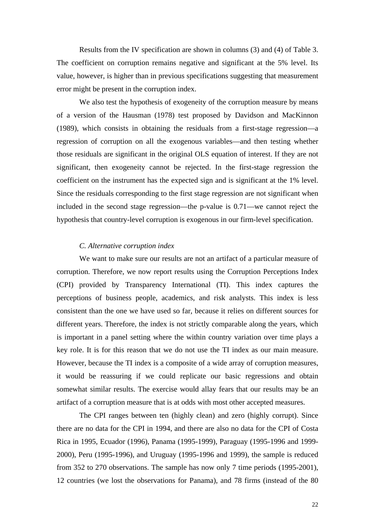Results from the IV specification are shown in columns (3) and (4) of Table 3. The coefficient on corruption remains negative and significant at the 5% level. Its value, however, is higher than in previous specifications suggesting that measurement error might be present in the corruption index.

We also test the hypothesis of exogeneity of the corruption measure by means of a version of the Hausman (1978) test proposed by Davidson and MacKinnon (1989), which consists in obtaining the residuals from a first-stage regression—a regression of corruption on all the exogenous variables—and then testing whether those residuals are significant in the original OLS equation of interest. If they are not significant, then exogeneity cannot be rejected. In the first-stage regression the coefficient on the instrument has the expected sign and is significant at the 1% level. Since the residuals corresponding to the first stage regression are not significant when included in the second stage regression—the p-value is 0.71—we cannot reject the hypothesis that country-level corruption is exogenous in our firm-level specification.

#### *C. Alternative corruption index*

We want to make sure our results are not an artifact of a particular measure of corruption. Therefore, we now report results using the Corruption Perceptions Index (CPI) provided by Transparency International (TI). This index captures the perceptions of business people, academics, and risk analysts. This index is less consistent than the one we have used so far, because it relies on different sources for different years. Therefore, the index is not strictly comparable along the years, which is important in a panel setting where the within country variation over time plays a key role. It is for this reason that we do not use the TI index as our main measure. However, because the TI index is a composite of a wide array of corruption measures, it would be reassuring if we could replicate our basic regressions and obtain somewhat similar results. The exercise would allay fears that our results may be an artifact of a corruption measure that is at odds with most other accepted measures.

The CPI ranges between ten (highly clean) and zero (highly corrupt). Since there are no data for the CPI in 1994, and there are also no data for the CPI of Costa Rica in 1995, Ecuador (1996), Panama (1995-1999), Paraguay (1995-1996 and 1999- 2000), Peru (1995-1996), and Uruguay (1995-1996 and 1999), the sample is reduced from 352 to 270 observations. The sample has now only 7 time periods (1995-2001), 12 countries (we lost the observations for Panama), and 78 firms (instead of the 80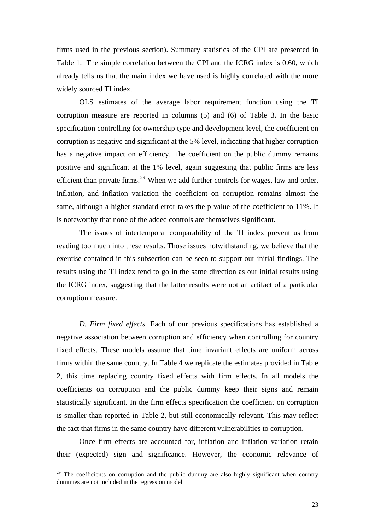firms used in the previous section). Summary statistics of the CPI are presented in Table 1. The simple correlation between the CPI and the ICRG index is 0.60, which already tells us that the main index we have used is highly correlated with the more widely sourced TI index.

OLS estimates of the average labor requirement function using the TI corruption measure are reported in columns (5) and (6) of Table 3. In the basic specification controlling for ownership type and development level, the coefficient on corruption is negative and significant at the 5% level, indicating that higher corruption has a negative impact on efficiency. The coefficient on the public dummy remains positive and significant at the 1% level, again suggesting that public firms are less efficient than private firms.<sup>[29](#page-23-0)</sup> When we add further controls for wages, law and order, inflation, and inflation variation the coefficient on corruption remains almost the same, although a higher standard error takes the p-value of the coefficient to 11%. It is noteworthy that none of the added controls are themselves significant.

The issues of intertemporal comparability of the TI index prevent us from reading too much into these results. Those issues notwithstanding, we believe that the exercise contained in this subsection can be seen to support our initial findings. The results using the TI index tend to go in the same direction as our initial results using the ICRG index, suggesting that the latter results were not an artifact of a particular corruption measure.

*D. Firm fixed effects.* Each of our previous specifications has established a negative association between corruption and efficiency when controlling for country fixed effects. These models assume that time invariant effects are uniform across firms within the same country. In Table 4 we replicate the estimates provided in Table 2, this time replacing country fixed effects with firm effects. In all models the coefficients on corruption and the public dummy keep their signs and remain statistically significant. In the firm effects specification the coefficient on corruption is smaller than reported in Table 2, but still economically relevant. This may reflect the fact that firms in the same country have different vulnerabilities to corruption.

Once firm effects are accounted for, inflation and inflation variation retain their (expected) sign and significance. However, the economic relevance of

1

<span id="page-23-0"></span> $29$  The coefficients on corruption and the public dummy are also highly significant when country dummies are not included in the regression model.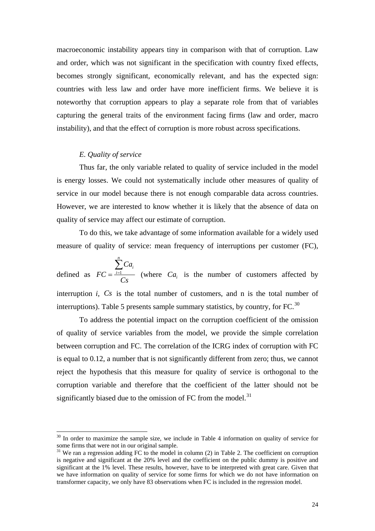macroeconomic instability appears tiny in comparison with that of corruption. Law and order, which was not significant in the specification with country fixed effects, becomes strongly significant, economically relevant, and has the expected sign: countries with less law and order have more inefficient firms. We believe it is noteworthy that corruption appears to play a separate role from that of variables capturing the general traits of the environment facing firms (law and order, macro instability), and that the effect of corruption is more robust across specifications.

#### *E. Quality of service*

-

Thus far, the only variable related to quality of service included in the model is energy losses. We could not systematically include other measures of quality of service in our model because there is not enough comparable data across countries. However, we are interested to know whether it is likely that the absence of data on quality of service may affect our estimate of corruption.

To do this, we take advantage of some information available for a widely used measure of quality of service: mean frequency of interruptions per customer (FC),

defined as  $FC = \frac{i=1}{i}$ *n i i Ca FC Cs*  $=\frac{i}{i}$ ∑ (where  $Ca_i$  is the number of customers affected by interruption  $i$ ,  $Cs$  is the total number of customers, and n is the total number of interruptions). Table 5 presents sample summary statistics, by country, for FC. $^{30}$  $^{30}$  $^{30}$ 

To address the potential impact on the corruption coefficient of the omission of quality of service variables from the model, we provide the simple correlation between corruption and FC. The correlation of the ICRG index of corruption with FC is equal to 0.12, a number that is not significantly different from zero; thus, we cannot reject the hypothesis that this measure for quality of service is orthogonal to the corruption variable and therefore that the coefficient of the latter should not be significantly biased due to the omission of FC from the model.<sup>[31](#page-24-1)</sup>

<span id="page-24-0"></span> $30$  In order to maximize the sample size, we include in Table 4 information on quality of service for some firms that were not in our original sample.

<span id="page-24-1"></span> $31$  We ran a regression adding FC to the model in column (2) in Table 2. The coefficient on corruption is negative and significant at the 20% level and the coefficient on the public dummy is positive and significant at the 1% level. These results, however, have to be interpreted with great care. Given that we have information on quality of service for some firms for which we do not have information on transformer capacity, we only have 83 observations when FC is included in the regression model.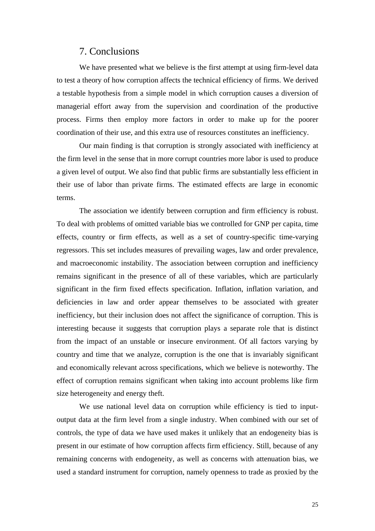## 7. Conclusions

We have presented what we believe is the first attempt at using firm-level data to test a theory of how corruption affects the technical efficiency of firms. We derived a testable hypothesis from a simple model in which corruption causes a diversion of managerial effort away from the supervision and coordination of the productive process. Firms then employ more factors in order to make up for the poorer coordination of their use, and this extra use of resources constitutes an inefficiency.

Our main finding is that corruption is strongly associated with inefficiency at the firm level in the sense that in more corrupt countries more labor is used to produce a given level of output. We also find that public firms are substantially less efficient in their use of labor than private firms. The estimated effects are large in economic terms.

The association we identify between corruption and firm efficiency is robust. To deal with problems of omitted variable bias we controlled for GNP per capita, time effects, country or firm effects, as well as a set of country-specific time-varying regressors. This set includes measures of prevailing wages, law and order prevalence, and macroeconomic instability. The association between corruption and inefficiency remains significant in the presence of all of these variables, which are particularly significant in the firm fixed effects specification. Inflation, inflation variation, and deficiencies in law and order appear themselves to be associated with greater inefficiency, but their inclusion does not affect the significance of corruption. This is interesting because it suggests that corruption plays a separate role that is distinct from the impact of an unstable or insecure environment. Of all factors varying by country and time that we analyze, corruption is the one that is invariably significant and economically relevant across specifications, which we believe is noteworthy. The effect of corruption remains significant when taking into account problems like firm size heterogeneity and energy theft.

We use national level data on corruption while efficiency is tied to inputoutput data at the firm level from a single industry. When combined with our set of controls, the type of data we have used makes it unlikely that an endogeneity bias is present in our estimate of how corruption affects firm efficiency. Still, because of any remaining concerns with endogeneity, as well as concerns with attenuation bias, we used a standard instrument for corruption, namely openness to trade as proxied by the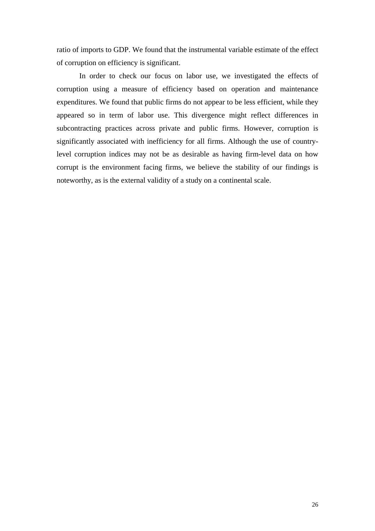ratio of imports to GDP. We found that the instrumental variable estimate of the effect of corruption on efficiency is significant.

In order to check our focus on labor use, we investigated the effects of corruption using a measure of efficiency based on operation and maintenance expenditures. We found that public firms do not appear to be less efficient, while they appeared so in term of labor use. This divergence might reflect differences in subcontracting practices across private and public firms. However, corruption is significantly associated with inefficiency for all firms. Although the use of countrylevel corruption indices may not be as desirable as having firm-level data on how corrupt is the environment facing firms, we believe the stability of our findings is noteworthy, as is the external validity of a study on a continental scale.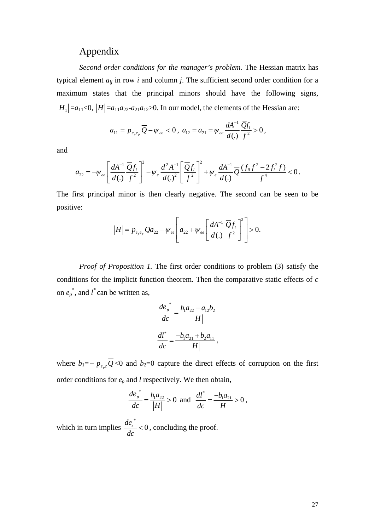# Appendix

*Second order conditions for the manager's problem.* The Hessian matrix has typical element  $a_{ij}$  in row *i* and column *j*. The sufficient second order condition for a maximum states that the principal minors should have the following signs,  $|H_1| = a_{11} \le 0$ ,  $|H| = a_{11} a_{22} a_{21} a_{12} > 0$ . In our model, the elements of the Hessian are:

$$
a_{11} = p_{e_{p}e_{p}} \overline{Q} - \psi_{ee} < 0, \ a_{12} = a_{21} = \psi_{ee} \frac{dA^{-1}}{d(.)} \frac{\overline{Q}f_{1}}{f^{2}} > 0,
$$

and

$$
a_{22} = -\psi_{ee} \left[ \frac{dA^{-1}}{d(.)} \frac{\overline{Q}f_l}{f^2} \right]^2 - \psi_e \frac{d^2A^{-1}}{d(.)^2} \left[ \frac{\overline{Q}f_l}{f^2} \right]^2 + \psi_e \frac{dA^{-1}}{d(.)} \overline{Q} \frac{(f_{ll}f^2 - 2f_l^2f)}{f^4} < 0.
$$

The first principal minor is then clearly negative. The second can be seen to be positive:

$$
|H| = p_{e_{p}e_{p}} \overline{Q} a_{22} - \psi_{ee} \left[ a_{22} + \psi_{ee} \left[ \frac{dA^{-1}}{d(.)} \frac{\overline{Q} f_{l}}{f^{2}} \right]^{2} \right] > 0.
$$

*Proof of Proposition 1.* The first order conditions to problem (3) satisfy the conditions for the implicit function theorem. Then the comparative static effects of *c* on  $e_p^*$ , and  $l^*$  can be written as,

$$
\frac{de_p^*}{dc} = \frac{b_1a_{22} - a_{12}b_2}{|H|}
$$

$$
\frac{dl^*}{dc} = \frac{-b_1a_{21} + b_2a_{11}}{|H|},
$$

where  $b_1 = -p_{e_0} \overline{Q}$  <0 and  $b_2 = 0$  capture the direct effects of corruption on the first order conditions for *ep* and *l* respectively. We then obtain,

$$
\frac{de_{p}^{*}}{dc} = \frac{b_{1}a_{22}}{|H|} > 0 \text{ and } \frac{dl^{*}}{dc} = \frac{-b_{1}a_{21}}{|H|} > 0,
$$

which in turn implies  $\frac{de_s^*}{1}$  < 0 *dc*  $< 0$ , concluding the proof.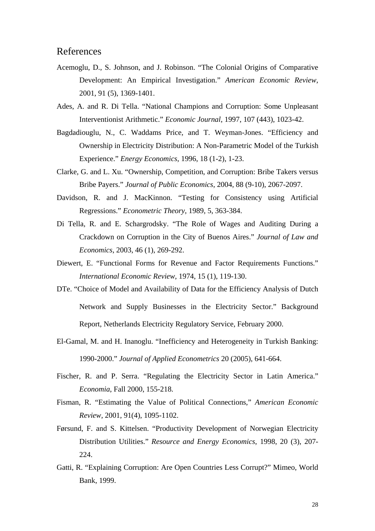## References

- Acemoglu, D., S. Johnson, and J. Robinson. "The Colonial Origins of Comparative Development: An Empirical Investigation." *American Economic Review*, 2001, 91 (5), 1369-1401.
- Ades, A. and R. Di Tella. "National Champions and Corruption: Some Unpleasant Interventionist Arithmetic." *Economic Journal*, 1997, 107 (443), 1023-42.
- Bagdadiouglu, N., C. Waddams Price, and T. Weyman-Jones. "Efficiency and Ownership in Electricity Distribution: A Non-Parametric Model of the Turkish Experience." *Energy Economics*, 1996, 18 (1-2), 1-23.
- Clarke, G. and L. Xu. "Ownership, Competition, and Corruption: Bribe Takers versus Bribe Payers." *Journal of Public Economics*, 2004, 88 (9-10), 2067-2097.
- Davidson, R. and J. MacKinnon. "Testing for Consistency using Artificial Regressions." *Econometric Theory*, 1989, 5, 363-384.
- Di Tella, R. and E. Schargrodsky. "The Role of Wages and Auditing During a Crackdown on Corruption in the City of Buenos Aires." *Journal of Law and Economics*, 2003, 46 (1), 269-292.
- Diewert, E. "Functional Forms for Revenue and Factor Requirements Functions." *International Economic Review*, 1974, 15 (1), 119-130.
- DTe. "Choice of Model and Availability of Data for the Efficiency Analysis of Dutch Network and Supply Businesses in the Electricity Sector." Background Report, Netherlands Electricity Regulatory Service, February 2000.
- El-Gamal, M. and H. Inanoglu. "Inefficiency and Heterogeneity in Turkish Banking: 1990-2000." *Journal of Applied Econometrics* 20 (2005), 641-664.
- Fischer, R. and P. Serra. "Regulating the Electricity Sector in Latin America." *Economia*, Fall 2000, 155-218.
- Fisman, R. "Estimating the Value of Political Connections," *American Economic Review,* 2001, 91(4), 1095-1102.
- Førsund, F. and S. Kittelsen. "Productivity Development of Norwegian Electricity Distribution Utilities." *Resource and Energy Economics*, 1998, 20 (3), 207- 224.
- Gatti, R. "Explaining Corruption: Are Open Countries Less Corrupt?" Mimeo, World Bank, 1999.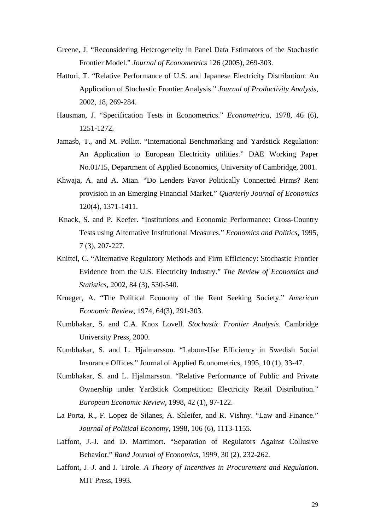- Greene, J. "Reconsidering Heterogeneity in Panel Data Estimators of the Stochastic Frontier Model." *Journal of Econometrics* 126 (2005), 269-303.
- Hattori, T. "Relative Performance of U.S. and Japanese Electricity Distribution: An Application of Stochastic Frontier Analysis." *Journal of Productivity Analysis*, 2002, 18, 269-284.
- Hausman, J. "Specification Tests in Econometrics." *Econometrica*, 1978, 46 (6), 1251-1272.
- Jamasb, T., and M. Pollitt. "International Benchmarking and Yardstick Regulation: An Application to European Electricity utilities." DAE Working Paper No.01/15, Department of Applied Economics, University of Cambridge, 2001.
- Khwaja, A. and A. Mian. "Do Lenders Favor Politically Connected Firms? Rent provision in an Emerging Financial Market." *Quarterly Journal of Economics* 120(4), 1371-1411.
- Knack, S. and P. Keefer. "Institutions and Economic Performance: Cross-Country Tests using Alternative Institutional Measures." *Economics and Politics*, 1995, 7 (3), 207-227.
- Knittel, C. "Alternative Regulatory Methods and Firm Efficiency: Stochastic Frontier Evidence from the U.S. Electricity Industry." *The Review of Economics and Statistics*, 2002, 84 (3), 530-540.
- Krueger, A. "The Political Economy of the Rent Seeking Society." *American Economic Review*, 1974, 64(3), 291-303.
- Kumbhakar, S. and C.A. Knox Lovell. *Stochastic Frontier Analysis*. Cambridge University Press, 2000.
- Kumbhakar, S. and L. Hjalmarsson. "Labour-Use Efficiency in Swedish Social Insurance Offices." Journal of Applied Econometrics, 1995, 10 (1), 33-47.
- Kumbhakar, S. and L. Hjalmarsson. "Relative Performance of Public and Private Ownership under Yardstick Competition: Electricity Retail Distribution." *European Economic Review*, 1998, 42 (1), 97-122.
- La Porta, R., F. Lopez de Silanes, A. Shleifer, and R. Vishny. "Law and Finance." *Journal of Political Economy*, 1998, 106 (6), 1113-1155.
- Laffont, J.-J. and D. Martimort. "Separation of Regulators Against Collusive Behavior." *Rand Journal of Economics*, 1999, 30 (2), 232-262.
- Laffont, J.-J. and J. Tirole. *A Theory of Incentives in Procurement and Regulation*. MIT Press, 1993.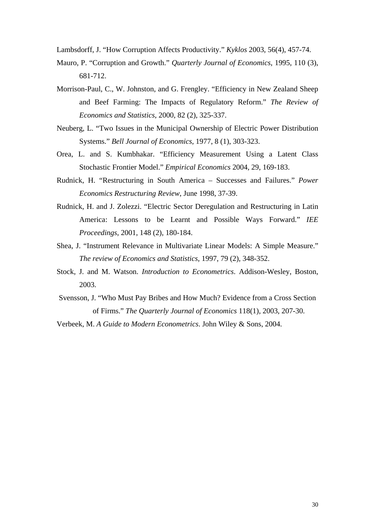Lambsdorff, J. "How Corruption Affects Productivity." *Kyklos* 2003, 56(4), 457-74.

- Mauro, P. "Corruption and Growth." *Quarterly Journal of Economics*, 1995, 110 (3), 681-712.
- Morrison-Paul, C., W. Johnston, and G. Frengley. "Efficiency in New Zealand Sheep and Beef Farming: The Impacts of Regulatory Reform." *The Review of Economics and Statistics*, 2000, 82 (2), 325-337.
- Neuberg, L. "Two Issues in the Municipal Ownership of Electric Power Distribution Systems." *Bell Journal of Economics*, 1977, 8 (1), 303-323.
- Orea, L. and S. Kumbhakar. "Efficiency Measurement Using a Latent Class Stochastic Frontier Model." *Empirical Economics* 2004, 29, 169-183.
- Rudnick, H. "Restructuring in South America Successes and Failures." *Power Economics Restructuring Review*, June 1998, 37-39.
- Rudnick, H. and J. Zolezzi. "Electric Sector Deregulation and Restructuring in Latin America: Lessons to be Learnt and Possible Ways Forward." *IEE Proceedings*, 2001, 148 (2), 180-184.
- Shea, J. "Instrument Relevance in Multivariate Linear Models: A Simple Measure." *The review of Economics and Statistics*, 1997, 79 (2), 348-352.
- Stock, J. and M. Watson. *Introduction to Econometrics*. Addison-Wesley, Boston, 2003.
- Svensson, J. "Who Must Pay Bribes and How Much? Evidence from a Cross Section of Firms." *The Quarterly Journal of Economics* 118(1), 2003, 207-30.

Verbeek, M. *A Guide to Modern Econometrics*. John Wiley & Sons, 2004.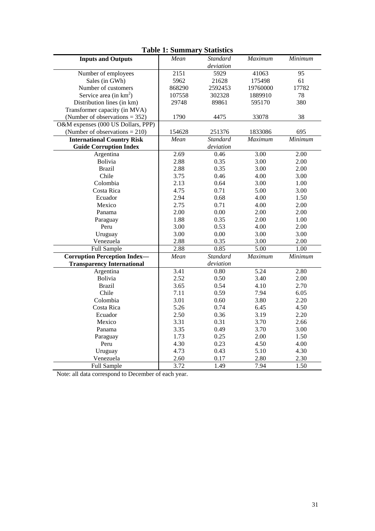| <b>Table 1: Summary Statistics</b>  |                   |                 |                   |                   |
|-------------------------------------|-------------------|-----------------|-------------------|-------------------|
| <b>Inputs and Outputs</b>           | Mean              | <b>Standard</b> | Maximum           | Minimum           |
|                                     |                   | deviation       |                   |                   |
| Number of employees                 | $\overline{2151}$ | 5929            | 41063             | $\overline{95}$   |
| Sales (in GWh)                      | 5962              | 21628           | 175498            | 61                |
| Number of customers                 | 868290            | 2592453         | 19760000          | 17782             |
| Service area (in $km^2$ )           | 107558            | 302328          | 1889910           | 78                |
| Distribution lines (in km)          | 29748             | 89861           | 595170            | 380               |
| Transformer capacity (in MVA)       |                   |                 |                   |                   |
| (Number of observations = $352$ )   | 1790              | 4475            | 33078             | 38                |
| O&M expenses (000 US Dollars, PPP)  |                   |                 |                   |                   |
| (Number of observations $= 210$ )   | 154628            | 251376          | 1833086           | 695               |
| <b>International Country Risk</b>   | Mean              | <b>Standard</b> | Maximum           | Minimum           |
| <b>Guide Corruption Index</b>       |                   | deviation       |                   |                   |
| Argentina                           | 2.69              | 0.46            | 3.00              | 2.00              |
| Bolivia                             | 2.88              | 0.35            | 3.00              | 2.00              |
| <b>Brazil</b>                       | 2.88              | 0.35            | 3.00              | 2.00              |
| Chile                               | 3.75              | 0.46            | 4.00              | 3.00              |
| Colombia                            | 2.13              | 0.64            | 3.00              | 1.00              |
| Costa Rica                          | 4.75              | 0.71            | 5.00              | 3.00              |
| Ecuador                             | 2.94              | 0.68            | 4.00              | 1.50              |
| Mexico                              | 2.75              | 0.71            | 4.00              | 2.00              |
| Panama                              | 2.00              | 0.00            | 2.00              | 2.00              |
| Paraguay                            | 1.88              | 0.35            | 2.00              | 1.00              |
| Peru                                | 3.00              | 0.53            | 4.00              | 2.00              |
| Uruguay                             | 3.00              | 0.00            | 3.00              | 3.00              |
| Venezuela                           | 2.88              | 0.35            | 3.00              | 2.00              |
| Full Sample                         | 2.88              | 0.85            | $\overline{5.00}$ | $\overline{1.00}$ |
| <b>Corruption Perception Index-</b> | Mean              | <b>Standard</b> | Maximum           | Minimum           |
| <b>Transparency International</b>   |                   | deviation       |                   |                   |
| Argentina                           | 3.41              | 0.80            | 5.24              | 2.80              |
| Bolivia                             | 2.52              | 0.50            | 3.40              | 2.00              |
| <b>Brazil</b>                       | 3.65              | 0.54            | 4.10              | 2.70              |
| Chile                               | 7.11              | 0.59            | 7.94              | 6.05              |
| Colombia                            | 3.01              | 0.60            | 3.80              | 2.20              |
| Costa Rica                          | 5.26              | 0.74            | 6.45              | 4.50              |
| Ecuador                             | 2.50              | 0.36            | 3.19              | 2.20              |
| Mexico                              | 3.31              | 0.31            | 3.70              | 2.66              |
| Panama                              | 3.35              | 0.49            | 3.70              | 3.00              |
| Paraguay                            | 1.73              | 0.25            | 2.00              | 1.50              |
| Peru                                | 4.30              | 0.23            | 4.50              | 4.00              |
| Uruguay                             | 4.73              | 0.43            | 5.10              | 4.30              |
| Venezuela                           | 2.60              | 0.17            | 2.80              | 2.30              |
| Full Sample                         | 3.72              | 1.49            | 7.94              | 1.50              |

## Note: all data correspond to December of each year.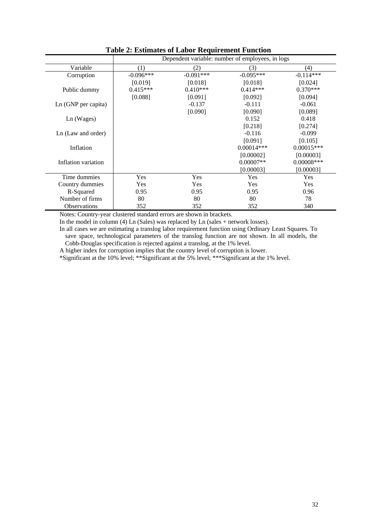|                       | Dependent variable: number of employees, in logs |             |              |               |
|-----------------------|--------------------------------------------------|-------------|--------------|---------------|
| Variable              | (1)                                              | (2)         | (3)          | (4)           |
| Corruption            | $-0.096***$                                      | $-0.091***$ | $-0.095***$  | $-0.114***$   |
|                       | [0.019]                                          | [0.018]     | [0.018]      | [0.024]       |
| Public dummy          | $0.415***$                                       | $0.410***$  | $0.414***$   | $0.370***$    |
|                       | [0.088]                                          | [0.091]     | [0.092]      | [0.094]       |
| $Ln(GNP)$ per capita) |                                                  | $-0.137$    | $-0.111$     | $-0.061$      |
|                       |                                                  | [0.090]     | [0.090]      | [0.089]       |
| Ln (Wages)            |                                                  |             | 0.152        | 0.418         |
|                       |                                                  |             | [0.218]      | [0.274]       |
| Ln (Law and order)    |                                                  |             | $-0.116$     | $-0.099$      |
|                       |                                                  |             | [0.091]      | [0.105]       |
| Inflation             |                                                  |             | $0.00014***$ | $0.00015***$  |
|                       |                                                  |             | [0.00002]    | [0.00003]     |
| Inflation variation   |                                                  |             | $0.00007**$  | $0.00008$ *** |
|                       |                                                  |             | [0.00003]    | [0.00003]     |
| Time dummies          | Yes                                              | Yes         | Yes          | Yes           |
| Country dummies       | <b>Yes</b>                                       | Yes         | Yes          | Yes           |
| R-Squared             | 0.95                                             | 0.95        | 0.95         | 0.96          |
| Number of firms       | 80                                               | 80          | 80           | 78            |
| <b>Observations</b>   | 352                                              | 352         | 352          | 340           |

**Table 2: Estimates of Labor Requirement Function** 

Notes: Country-year clustered standard errors are shown in brackets.

In the model in column (4) Ln (Sales) was replaced by Ln (sales + network losses).

In all cases we are estimating a translog labor requirement function using Ordinary Least Squares. To save space, technological parameters of the translog function are not shown. In all models, the Cobb-Douglas specification is rejected against a translog, at the 1% level.

A higher index for corruption implies that the country level of corruption is lower.

\*Significant at the 10% level; \*\*Significant at the 5% level; \*\*\*Significant at the 1% level.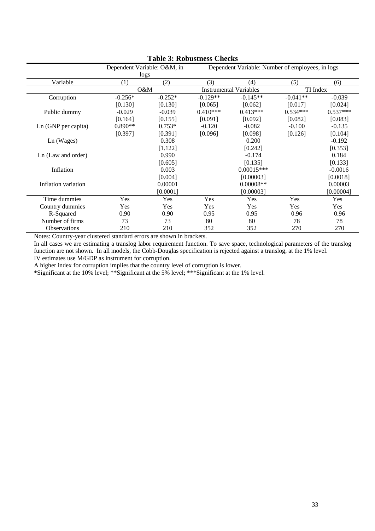|                     | Dependent Variable: O&M, in<br>logs |           | Dependent Variable: Number of employees, in logs |                               |            |            |  |
|---------------------|-------------------------------------|-----------|--------------------------------------------------|-------------------------------|------------|------------|--|
| Variable            | (1)                                 | (2)       | (3)                                              | (4)                           | (5)        | (6)        |  |
|                     |                                     | O&M       |                                                  | <b>Instrumental Variables</b> |            | TI Index   |  |
| Corruption          | $-0.256*$                           | $-0.252*$ | $-0.129**$                                       | $-0.145**$                    | $-0.041**$ | $-0.039$   |  |
|                     | [0.130]                             | [0.130]   | [0.065]                                          | [0.062]                       | [0.017]    | [0.024]    |  |
| Public dummy        | $-0.029$                            | $-0.039$  | $0.410***$                                       | $0.413***$                    | $0.534***$ | $0.537***$ |  |
|                     | [0.164]                             | [0.155]   | [0.091]                                          | [0.092]                       | [0.082]    | [0.083]    |  |
| Ln (GNP per capita) | $0.890**$                           | $0.753*$  | $-0.120$                                         | $-0.082$                      | $-0.100$   | $-0.135$   |  |
|                     | [0.397]                             | [0.391]   | [0.096]                                          | [0.098]                       | [0.126]    | [0.104]    |  |
| Ln (Wages)          |                                     | 0.308     |                                                  | 0.200                         |            | $-0.192$   |  |
|                     |                                     | [1.122]   |                                                  | [0.242]                       |            | [0.353]    |  |
| Ln (Law and order)  |                                     | 0.990     |                                                  | $-0.174$                      |            | 0.184      |  |
|                     |                                     | [0.605]   |                                                  | [0.135]                       |            | [0.133]    |  |
| Inflation           |                                     | 0.003     |                                                  | $0.00015***$                  |            | $-0.0016$  |  |
|                     |                                     | [0.004]   |                                                  | [0.00003]                     |            | [0.0018]   |  |
| Inflation variation |                                     | 0.00001   |                                                  | $0.00008**$                   |            | 0.00003    |  |
|                     |                                     | [0.0001]  |                                                  | [0.00003]                     |            | [0.00004]  |  |
| Time dummies        | Yes                                 | Yes       | Yes                                              | Yes                           | Yes        | Yes        |  |
| Country dummies     | Yes                                 | Yes       | Yes                                              | Yes                           | Yes        | Yes        |  |
| R-Squared           | 0.90                                | 0.90      | 0.95                                             | 0.95                          | 0.96       | 0.96       |  |
| Number of firms     | 73                                  | 73        | 80                                               | 80                            | 78         | 78         |  |
| <b>Observations</b> | 210                                 | 210       | 352                                              | 352                           | 270        | 270        |  |

**Table 3: Robustness Checks** 

Notes: Country-year clustered standard errors are shown in brackets.

In all cases we are estimating a translog labor requirement function. To save space, technological parameters of the translog function are not shown. In all models, the Cobb-Douglas specification is rejected against a translog, at the 1% level. IV estimates use M/GDP as instrument for corruption.

A higher index for corruption implies that the country level of corruption is lower.

\*Significant at the 10% level; \*\*Significant at the 5% level; \*\*\*Significant at the 1% level.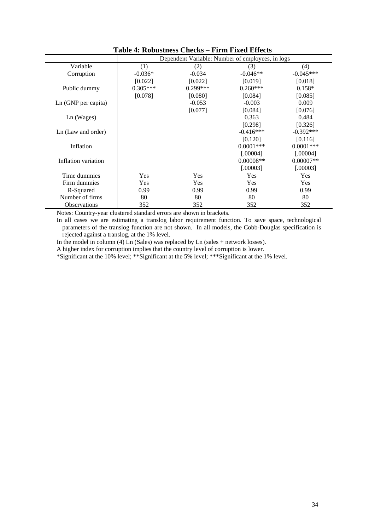|                     | Dependent Variable: Number of employees, in logs |            |             |              |
|---------------------|--------------------------------------------------|------------|-------------|--------------|
| Variable            | (1)                                              | (2)        | (3)         | (4)          |
| Corruption          | $-0.036*$                                        | $-0.034$   | $-0.046**$  | $-0.045***$  |
|                     | [0.022]                                          | [0.022]    | [0.019]     | [0.018]      |
| Public dummy        | $0.305***$                                       | $0.299***$ | $0.260***$  | $0.158*$     |
|                     | [0.078]                                          | [0.080]    | [0.084]     | [0.085]      |
| Ln (GNP per capita) |                                                  | $-0.053$   | $-0.003$    | 0.009        |
|                     |                                                  | [0.077]    | [0.084]     | [0.076]      |
| Ln (Wages)          |                                                  |            | 0.363       | 0.484        |
|                     |                                                  |            | [0.298]     | [0.326]      |
| Ln (Law and order)  |                                                  |            | $-0.416***$ | $-0.392***$  |
|                     |                                                  |            | [0.120]     | [0.116]      |
| Inflation           |                                                  |            | $0.0001***$ | $0.0001$ *** |
|                     |                                                  |            | [.00004]    | [.00004]     |
| Inflation variation |                                                  |            | $0.00008**$ | $0.00007**$  |
|                     |                                                  |            | [.00003]    | [.00003]     |
| Time dummies        | Yes                                              | Yes        | Yes         | Yes          |
| Firm dummies        | Yes                                              | Yes        | Yes         | Yes          |
| R-Squared           | 0.99                                             | 0.99       | 0.99        | 0.99         |
| Number of firms     | 80                                               | 80         | 80          | 80           |
| <b>Observations</b> | 352                                              | 352        | 352         | 352          |

**Table 4: Robustness Checks – Firm Fixed Effects** 

Notes: Country-year clustered standard errors are shown in brackets.

In all cases we are estimating a translog labor requirement function. To save space, technological parameters of the translog function are not shown. In all models, the Cobb-Douglas specification is rejected against a translog, at the 1% level.

In the model in column (4) Ln (Sales) was replaced by Ln (sales + network losses).

A higher index for corruption implies that the country level of corruption is lower.

\*Significant at the 10% level; \*\*Significant at the 5% level; \*\*\*Significant at the 1% level.